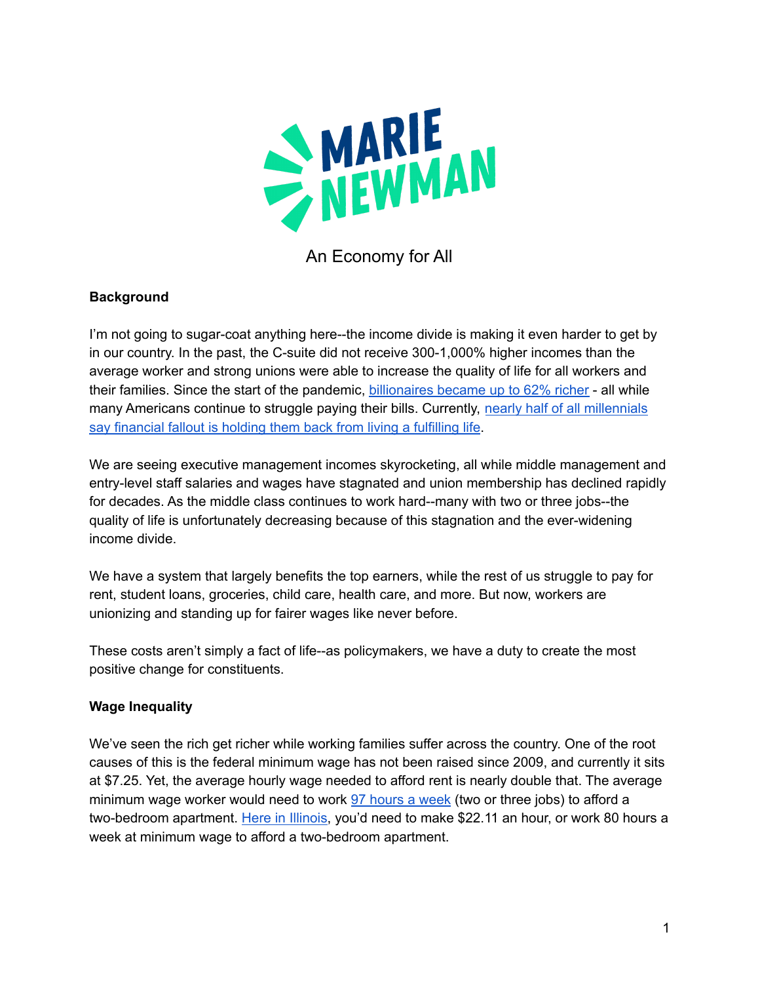

An Economy for All

## **Background**

I'm not going to sugar-coat anything here--the income divide is making it even harder to get by in our country. In the past, the C-suite did not receive 300-1,000% higher incomes than the average worker and strong unions were able to increase the quality of life for all workers and their families. Since the start of the pandemic, [billionaires](https://ips-dc.org/u-s-billionaires-62-percent-richer-during-pandemic/) became up to 62% richer - all while many Americans continue to struggle paying their bills. Currently, nearly half of all [millennials](https://fortune.com/2022/01/25/nearly-half-millennials-fincial-pain-keeps-them-from-dream-life/) say [financial](https://fortune.com/2022/01/25/nearly-half-millennials-fincial-pain-keeps-them-from-dream-life/) fallout is holding them back from living a fulfilling life.

We are seeing executive management incomes skyrocketing, all while middle management and entry-level staff salaries and wages have stagnated and union membership has declined rapidly for decades. As the middle class continues to work hard--many with two or three jobs--the quality of life is unfortunately decreasing because of this stagnation and the ever-widening income divide.

We have a system that largely benefits the top earners, while the rest of us struggle to pay for rent, student loans, groceries, child care, health care, and more. But now, workers are unionizing and standing up for fairer wages like never before.

These costs aren't simply a fact of life--as policymakers, we have a duty to create the most positive change for constituents.

## **Wage Inequality**

We've seen the rich get richer while working families suffer across the country. One of the root causes of this is the federal minimum wage has not been raised since 2009, and currently it sits at \$7.25. Yet, the average hourly wage needed to afford rent is nearly double that. The average minimum wage worker would need to work 97 [hours](https://www.independent.co.uk/news/world/americas/minimum-wage-workers-rent-america-b1885307.html) a week (two or three jobs) to afford a two-bedroom apartment. Here in [Illinois,](https://reports.nlihc.org/oor) you'd need to make \$22.11 an hour, or work 80 hours a week at minimum wage to afford a two-bedroom apartment.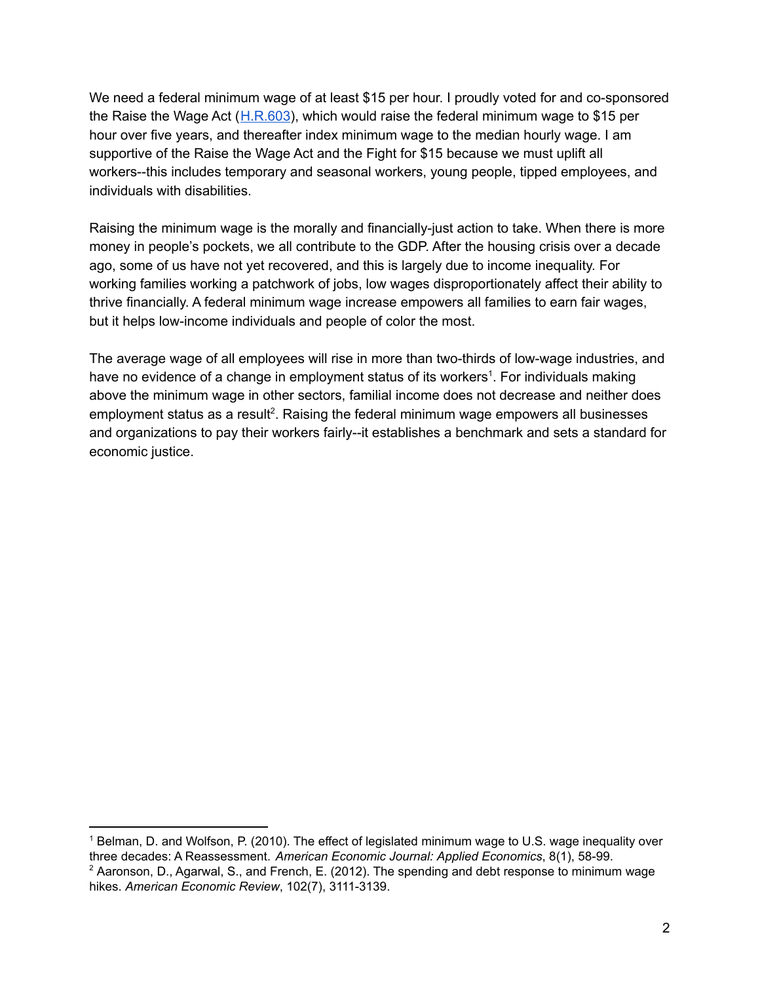We need a federal minimum wage of at least \$15 per hour. I proudly voted for and co-sponsored the Raise the Wage Act ([H.R.603](https://www.congress.gov/bill/117th-congress/house-bill/603)), which would raise the federal minimum wage to \$15 per hour over five years, and thereafter index minimum wage to the median hourly wage. I am supportive of the Raise the Wage Act and the Fight for \$15 because we must uplift all workers--this includes temporary and seasonal workers, young people, tipped employees, and individuals with disabilities.

Raising the minimum wage is the morally and financially-just action to take. When there is more money in people's pockets, we all contribute to the GDP. After the housing crisis over a decade ago, some of us have not yet recovered, and this is largely due to income inequality. For working families working a patchwork of jobs, low wages disproportionately affect their ability to thrive financially. A federal minimum wage increase empowers all families to earn fair wages, but it helps low-income individuals and people of color the most.

The average wage of all employees will rise in more than two-thirds of low-wage industries, and have no evidence of a change in employment status of its workers<sup>1</sup>. For individuals making above the minimum wage in other sectors, familial income does not decrease and neither does employment status as a result<sup>2</sup>. Raising the federal minimum wage empowers all businesses and organizations to pay their workers fairly--it establishes a benchmark and sets a standard for economic justice.

<sup>&</sup>lt;sup>1</sup> Belman, D. and Wolfson, P. (2010). The effect of legislated minimum wage to U.S. wage inequality over three decades: A Reassessment. *American Economic Journal: Applied Economics*, 8(1), 58-99.

 $2$  Aaronson, D., Agarwal, S., and French, E. (2012). The spending and debt response to minimum wage hikes. *American Economic Review*, 102(7), 3111-3139.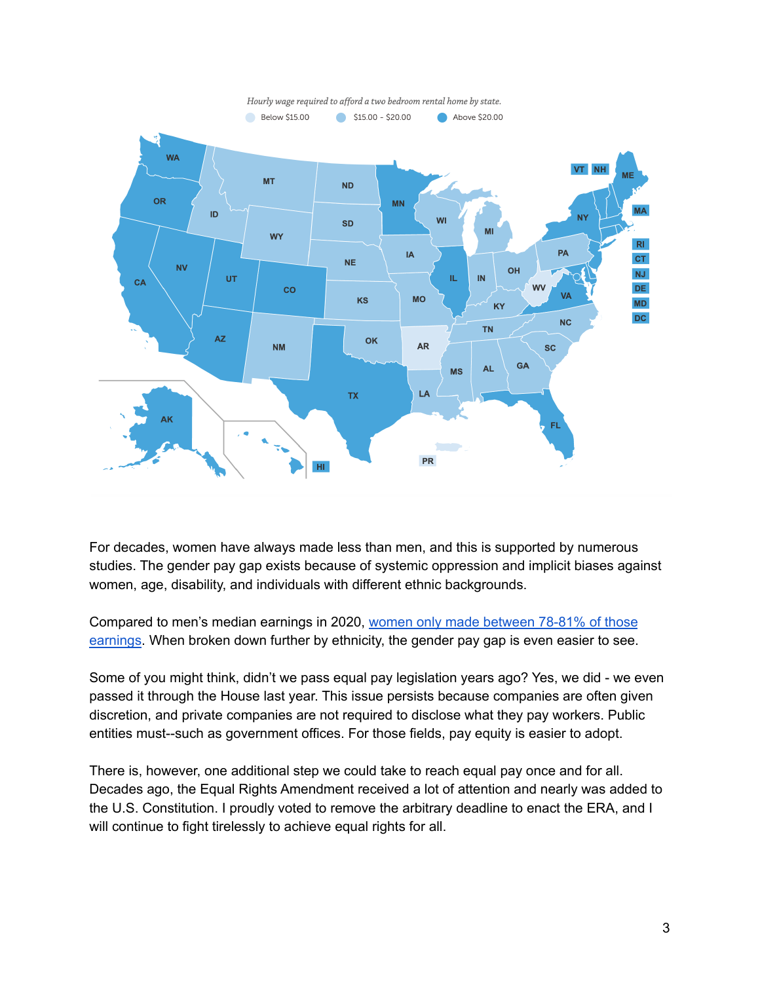

For decades, women have always made less than men, and this is supported by numerous studies. The gender pay gap exists because of systemic oppression and implicit biases against women, age, disability, and individuals with different ethnic backgrounds.

Compared to men's median earnings in 2020, women only made [between](https://www.bls.gov/opub/reports/womens-earnings/2020/pdf/home.pdf) 78-81% of those [earnings](https://www.bls.gov/opub/reports/womens-earnings/2020/pdf/home.pdf). When broken down further by ethnicity, the gender pay gap is even easier to see.

Some of you might think, didn't we pass equal pay legislation years ago? Yes, we did - we even passed it through the House last year. This issue persists because companies are often given discretion, and private companies are not required to disclose what they pay workers. Public entities must--such as government offices. For those fields, pay equity is easier to adopt.

There is, however, one additional step we could take to reach equal pay once and for all. Decades ago, the Equal Rights Amendment received a lot of attention and nearly was added to the U.S. Constitution. I proudly voted to remove the arbitrary deadline to enact the ERA, and I will continue to fight tirelessly to achieve equal rights for all.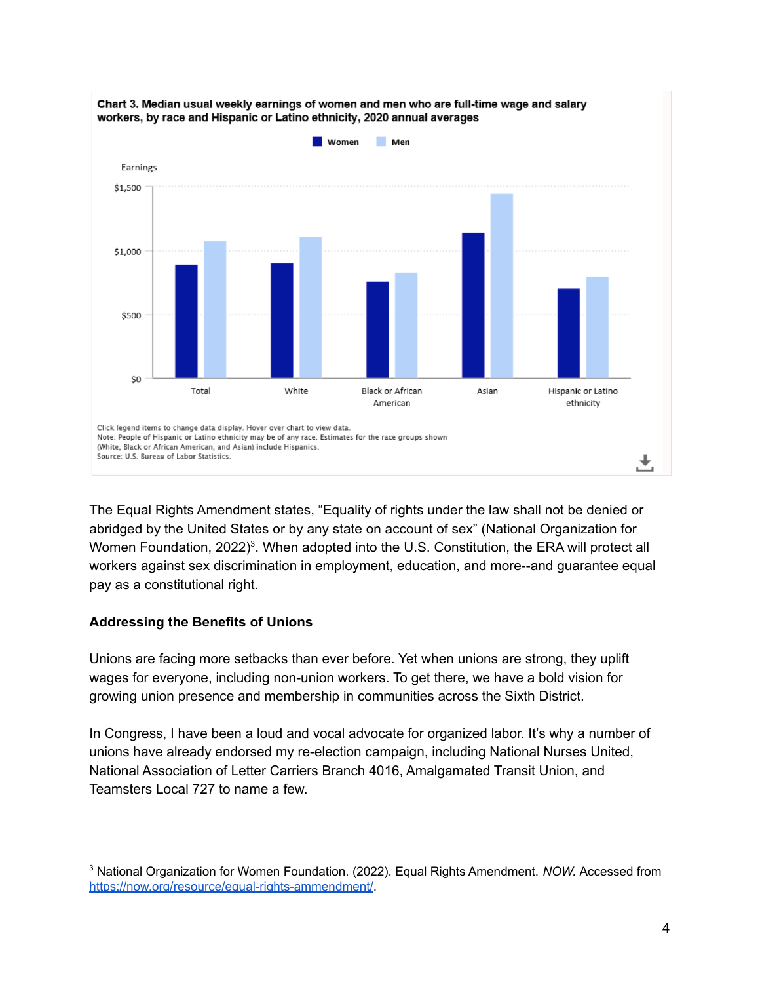

Chart 3. Median usual weekly earnings of women and men who are full-time wage and salary workers, by race and Hispanic or Latino ethnicity, 2020 annual averages

The Equal Rights Amendment states, "Equality of rights under the law shall not be denied or abridged by the United States or by any state on account of sex" (National Organization for Women Foundation, 2022)<sup>3</sup>. When adopted into the U.S. Constitution, the ERA will protect all workers against sex discrimination in employment, education, and more--and guarantee equal pay as a constitutional right.

## **Addressing the Benefits of Unions**

Unions are facing more setbacks than ever before. Yet when unions are strong, they uplift wages for everyone, including non-union workers. To get there, we have a bold vision for growing union presence and membership in communities across the Sixth District.

In Congress, I have been a loud and vocal advocate for organized labor. It's why a number of unions have already endorsed my re-election campaign, including National Nurses United, National Association of Letter Carriers Branch 4016, Amalgamated Transit Union, and Teamsters Local 727 to name a few.

<sup>3</sup> National Organization for Women Foundation. (2022). Equal Rights Amendment. *NOW.* Accessed from [https://now.org/resource/equal-rights-ammendment/.](https://now.org/resource/equal-rights-ammendment/)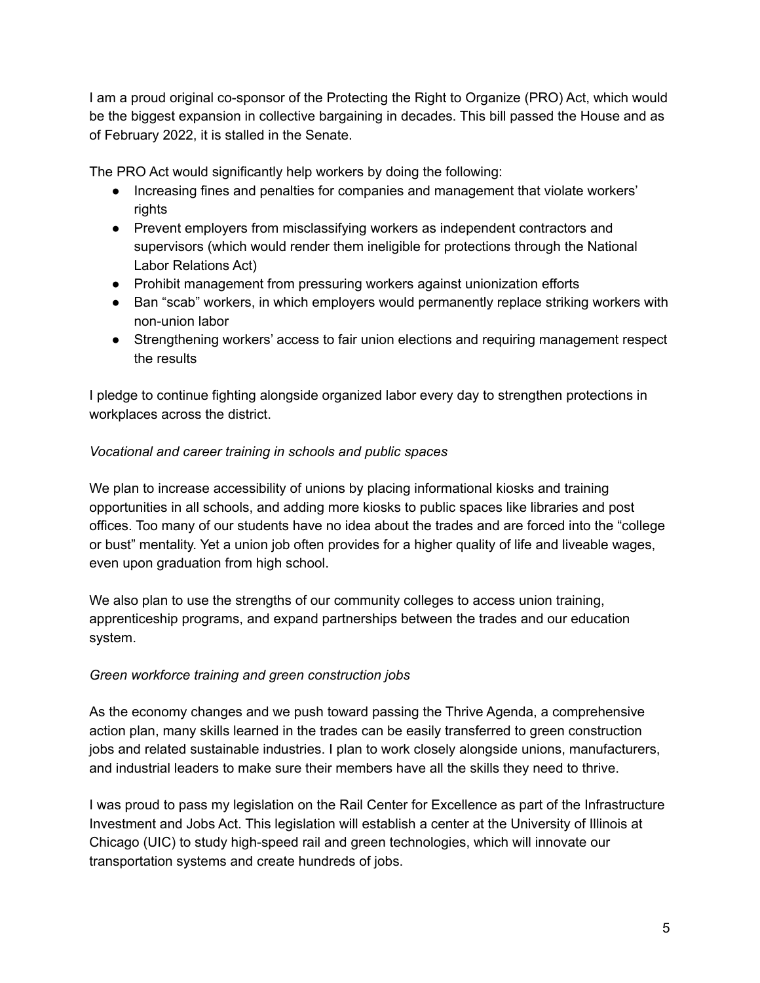I am a proud original co-sponsor of the Protecting the Right to Organize (PRO) Act, which would be the biggest expansion in collective bargaining in decades. This bill passed the House and as of February 2022, it is stalled in the Senate.

The PRO Act would significantly help workers by doing the following:

- Increasing fines and penalties for companies and management that violate workers' rights
- Prevent employers from misclassifying workers as independent contractors and supervisors (which would render them ineligible for protections through the National Labor Relations Act)
- Prohibit management from pressuring workers against unionization efforts
- Ban "scab" workers, in which employers would permanently replace striking workers with non-union labor
- Strengthening workers' access to fair union elections and requiring management respect the results

I pledge to continue fighting alongside organized labor every day to strengthen protections in workplaces across the district.

## *Vocational and career training in schools and public spaces*

We plan to increase accessibility of unions by placing informational kiosks and training opportunities in all schools, and adding more kiosks to public spaces like libraries and post offices. Too many of our students have no idea about the trades and are forced into the "college or bust" mentality. Yet a union job often provides for a higher quality of life and liveable wages, even upon graduation from high school.

We also plan to use the strengths of our community colleges to access union training, apprenticeship programs, and expand partnerships between the trades and our education system.

## *Green workforce training and green construction jobs*

As the economy changes and we push toward passing the Thrive Agenda, a comprehensive action plan, many skills learned in the trades can be easily transferred to green construction jobs and related sustainable industries. I plan to work closely alongside unions, manufacturers, and industrial leaders to make sure their members have all the skills they need to thrive.

I was proud to pass my legislation on the Rail Center for Excellence as part of the Infrastructure Investment and Jobs Act. This legislation will establish a center at the University of Illinois at Chicago (UIC) to study high-speed rail and green technologies, which will innovate our transportation systems and create hundreds of jobs.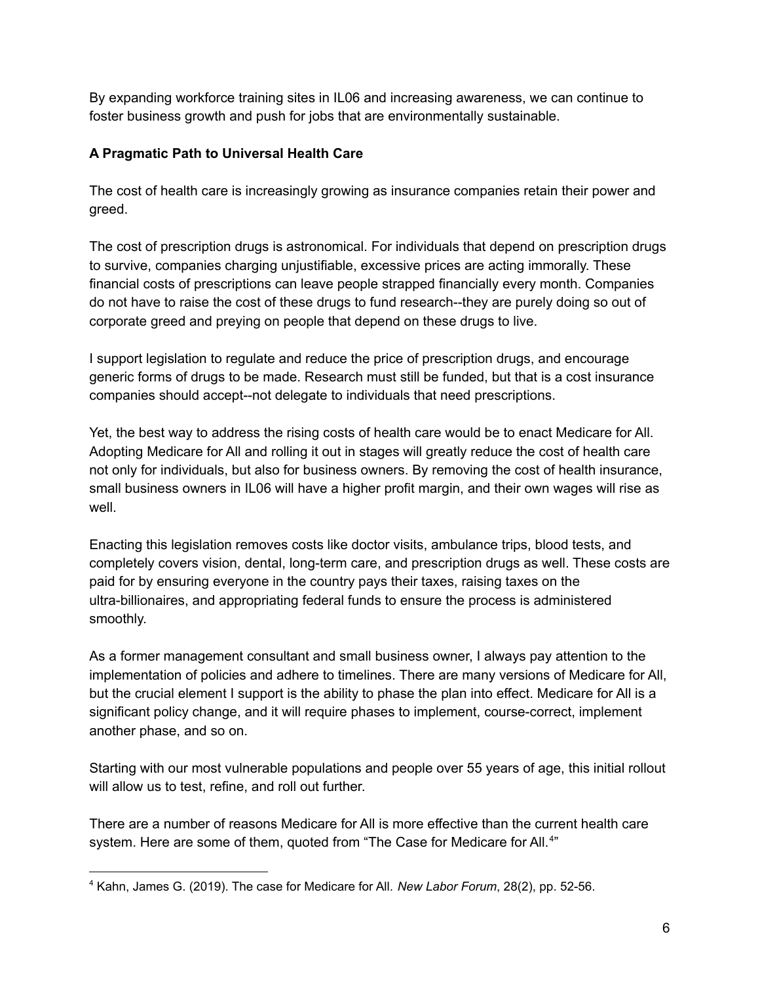By expanding workforce training sites in IL06 and increasing awareness, we can continue to foster business growth and push for jobs that are environmentally sustainable.

# **A Pragmatic Path to Universal Health Care**

The cost of health care is increasingly growing as insurance companies retain their power and greed.

The cost of prescription drugs is astronomical. For individuals that depend on prescription drugs to survive, companies charging unjustifiable, excessive prices are acting immorally. These financial costs of prescriptions can leave people strapped financially every month. Companies do not have to raise the cost of these drugs to fund research--they are purely doing so out of corporate greed and preying on people that depend on these drugs to live.

I support legislation to regulate and reduce the price of prescription drugs, and encourage generic forms of drugs to be made. Research must still be funded, but that is a cost insurance companies should accept--not delegate to individuals that need prescriptions.

Yet, the best way to address the rising costs of health care would be to enact Medicare for All. Adopting Medicare for All and rolling it out in stages will greatly reduce the cost of health care not only for individuals, but also for business owners. By removing the cost of health insurance, small business owners in IL06 will have a higher profit margin, and their own wages will rise as well.

Enacting this legislation removes costs like doctor visits, ambulance trips, blood tests, and completely covers vision, dental, long-term care, and prescription drugs as well. These costs are paid for by ensuring everyone in the country pays their taxes, raising taxes on the ultra-billionaires, and appropriating federal funds to ensure the process is administered smoothly.

As a former management consultant and small business owner, I always pay attention to the implementation of policies and adhere to timelines. There are many versions of Medicare for All, but the crucial element I support is the ability to phase the plan into effect. Medicare for All is a significant policy change, and it will require phases to implement, course-correct, implement another phase, and so on.

Starting with our most vulnerable populations and people over 55 years of age, this initial rollout will allow us to test, refine, and roll out further.

There are a number of reasons Medicare for All is more effective than the current health care system. Here are some of them, quoted from "The Case for Medicare for All.<sup>4"</sup>

<sup>4</sup> Kahn, James G. (2019). The case for Medicare for All. *New Labor Forum*, 28(2), pp. 52-56.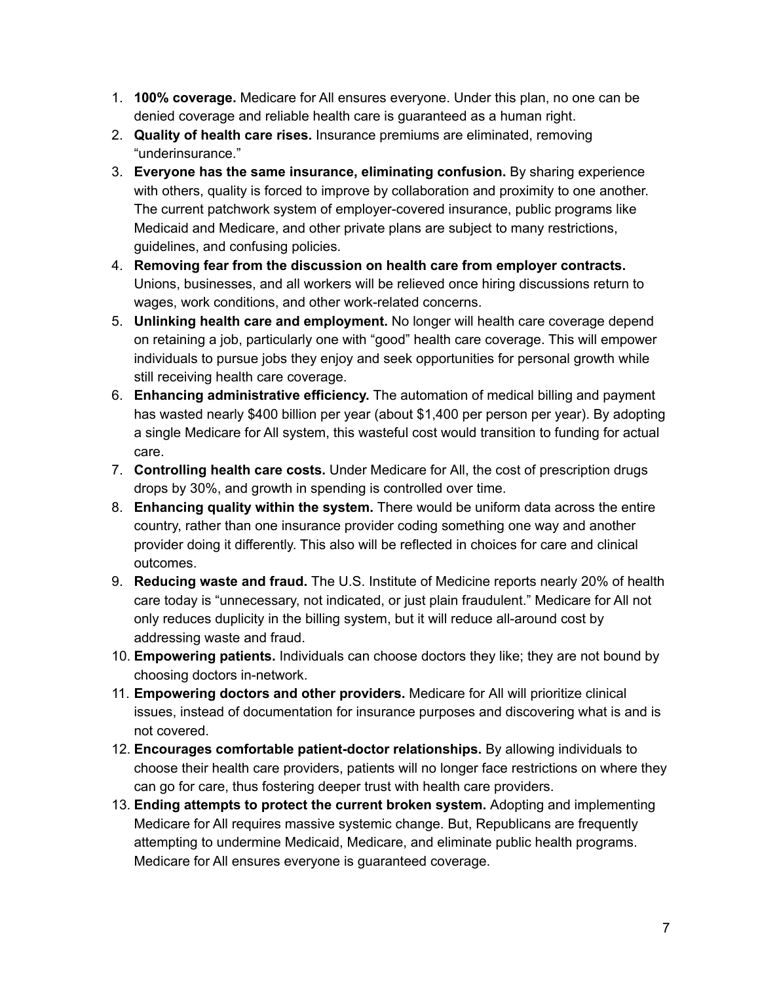- 1. **100% coverage.** Medicare for All ensures everyone. Under this plan, no one can be denied coverage and reliable health care is guaranteed as a human right.
- 2. **Quality of health care rises.** Insurance premiums are eliminated, removing "underinsurance."
- 3. **Everyone has the same insurance, eliminating confusion.** By sharing experience with others, quality is forced to improve by collaboration and proximity to one another. The current patchwork system of employer-covered insurance, public programs like Medicaid and Medicare, and other private plans are subject to many restrictions, guidelines, and confusing policies.
- 4. **Removing fear from the discussion on health care from employer contracts.** Unions, businesses, and all workers will be relieved once hiring discussions return to wages, work conditions, and other work-related concerns.
- 5. **Unlinking health care and employment.** No longer will health care coverage depend on retaining a job, particularly one with "good" health care coverage. This will empower individuals to pursue jobs they enjoy and seek opportunities for personal growth while still receiving health care coverage.
- 6. **Enhancing administrative efficiency.** The automation of medical billing and payment has wasted nearly \$400 billion per year (about \$1,400 per person per year). By adopting a single Medicare for All system, this wasteful cost would transition to funding for actual care.
- 7. **Controlling health care costs.** Under Medicare for All, the cost of prescription drugs drops by 30%, and growth in spending is controlled over time.
- 8. **Enhancing quality within the system.** There would be uniform data across the entire country, rather than one insurance provider coding something one way and another provider doing it differently. This also will be reflected in choices for care and clinical outcomes.
- 9. **Reducing waste and fraud.** The U.S. Institute of Medicine reports nearly 20% of health care today is "unnecessary, not indicated, or just plain fraudulent." Medicare for All not only reduces duplicity in the billing system, but it will reduce all-around cost by addressing waste and fraud.
- 10. **Empowering patients.** Individuals can choose doctors they like; they are not bound by choosing doctors in-network.
- 11. **Empowering doctors and other providers.** Medicare for All will prioritize clinical issues, instead of documentation for insurance purposes and discovering what is and is not covered.
- 12. **Encourages comfortable patient-doctor relationships.** By allowing individuals to choose their health care providers, patients will no longer face restrictions on where they can go for care, thus fostering deeper trust with health care providers.
- 13. **Ending attempts to protect the current broken system.** Adopting and implementing Medicare for All requires massive systemic change. But, Republicans are frequently attempting to undermine Medicaid, Medicare, and eliminate public health programs. Medicare for All ensures everyone is guaranteed coverage.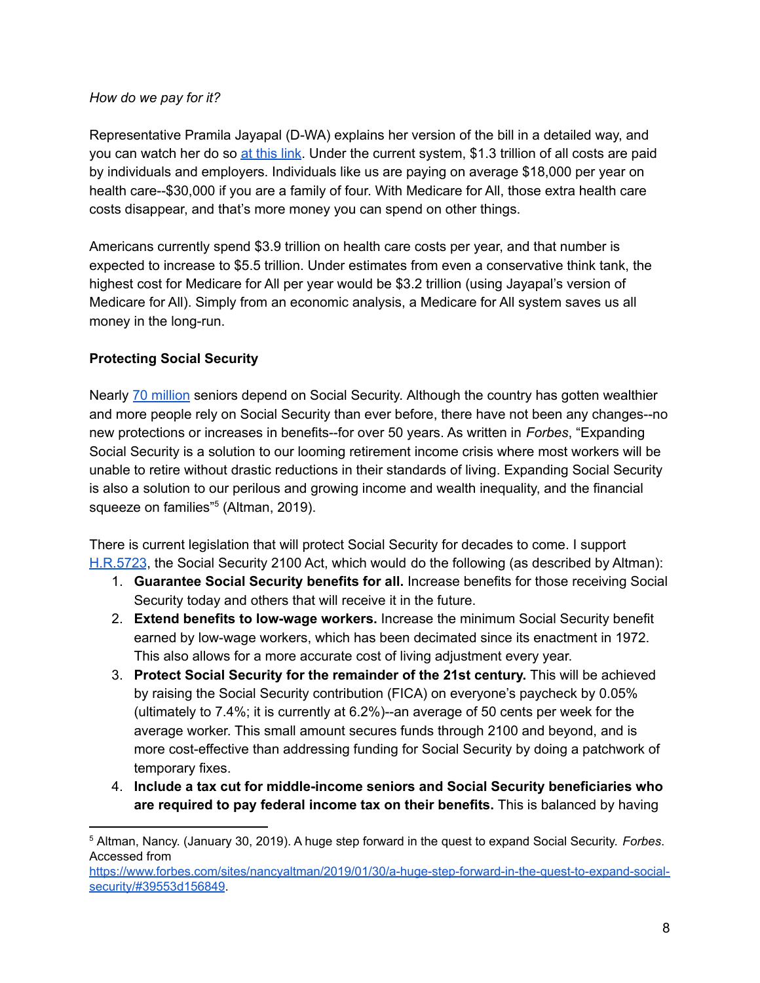#### *How do we pay for it?*

Representative Pramila Jayapal (D-WA) explains her version of the bill in a detailed way, and you can watch her do so at [this](https://twitter.com/RepJayapal/status/1109157564372213760) link. Under the current system, \$1.3 trillion of all costs are paid by individuals and employers. Individuals like us are paying on average \$18,000 per year on health care--\$30,000 if you are a family of four. With Medicare for All, those extra health care costs disappear, and that's more money you can spend on other things.

Americans currently spend \$3.9 trillion on health care costs per year, and that number is expected to increase to \$5.5 trillion. Under estimates from even a conservative think tank, the highest cost for Medicare for All per year would be \$3.2 trillion (using Jayapal's version of Medicare for All). Simply from an economic analysis, a Medicare for All system saves us all money in the long-run.

## **Protecting Social Security**

Nearly 70 [million](https://www.ssa.gov/policy/docs/chartbooks/fast_facts/2021/fast_facts21.pdf) seniors depend on Social Security. Although the country has gotten wealthier and more people rely on Social Security than ever before, there have not been any changes--no new protections or increases in benefits--for over 50 years. As written in *Forbes*, "Expanding Social Security is a solution to our looming retirement income crisis where most workers will be unable to retire without drastic reductions in their standards of living. Expanding Social Security is also a solution to our perilous and growing income and wealth inequality, and the financial squeeze on families"<sup>5</sup> (Altman, 2019).

There is current legislation that will protect Social Security for decades to come. I support [H.R.5723](https://www.congress.gov/bill/117th-congress/house-bill/5723), the Social Security 2100 Act, which would do the following (as described by Altman):

- 1. **Guarantee Social Security benefits for all.** Increase benefits for those receiving Social Security today and others that will receive it in the future.
- 2. **Extend benefits to low-wage workers.** Increase the minimum Social Security benefit earned by low-wage workers, which has been decimated since its enactment in 1972. This also allows for a more accurate cost of living adjustment every year.
- 3. **Protect Social Security for the remainder of the 21st century.** This will be achieved by raising the Social Security contribution (FICA) on everyone's paycheck by 0.05% (ultimately to 7.4%; it is currently at 6.2%)--an average of 50 cents per week for the average worker. This small amount secures funds through 2100 and beyond, and is more cost-effective than addressing funding for Social Security by doing a patchwork of temporary fixes.
- 4. **Include a tax cut for middle-income seniors and Social Security beneficiaries who are required to pay federal income tax on their benefits.** This is balanced by having

<sup>5</sup> Altman, Nancy. (January 30, 2019). A huge step forward in the quest to expand Social Security. *Forbes*. Accessed from

[https://www.forbes.com/sites/nancyaltman/2019/01/30/a-huge-step-forward-in-the-quest-to-expand-social](https://www.forbes.com/sites/nancyaltman/2019/01/30/a-huge-step-forward-in-the-quest-to-expand-social-security/#39553d156849)[security/#39553d156849](https://www.forbes.com/sites/nancyaltman/2019/01/30/a-huge-step-forward-in-the-quest-to-expand-social-security/#39553d156849).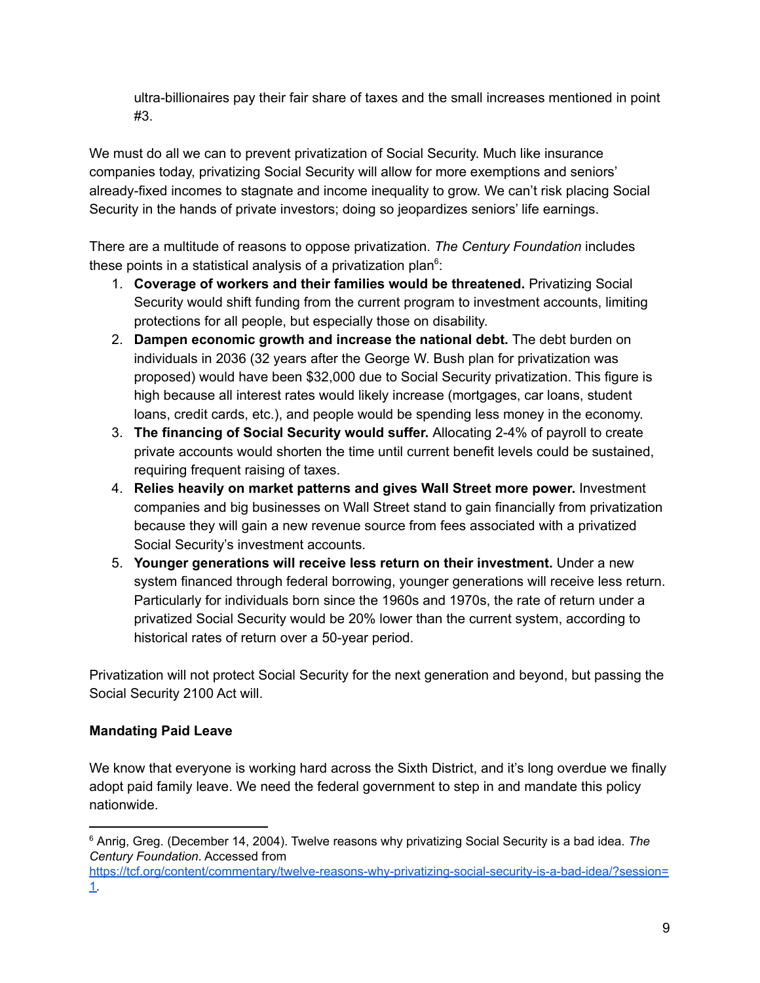ultra-billionaires pay their fair share of taxes and the small increases mentioned in point #3.

We must do all we can to prevent privatization of Social Security. Much like insurance companies today, privatizing Social Security will allow for more exemptions and seniors' already-fixed incomes to stagnate and income inequality to grow. We can't risk placing Social Security in the hands of private investors; doing so jeopardizes seniors' life earnings.

There are a multitude of reasons to oppose privatization. *The Century Foundation* includes these points in a statistical analysis of a privatization plan $6$ :

- 1. **Coverage of workers and their families would be threatened.** Privatizing Social Security would shift funding from the current program to investment accounts, limiting protections for all people, but especially those on disability.
- 2. **Dampen economic growth and increase the national debt.** The debt burden on individuals in 2036 (32 years after the George W. Bush plan for privatization was proposed) would have been \$32,000 due to Social Security privatization. This figure is high because all interest rates would likely increase (mortgages, car loans, student loans, credit cards, etc.), and people would be spending less money in the economy.
- 3. **The financing of Social Security would suffer.** Allocating 2-4% of payroll to create private accounts would shorten the time until current benefit levels could be sustained, requiring frequent raising of taxes.
- 4. **Relies heavily on market patterns and gives Wall Street more power.** Investment companies and big businesses on Wall Street stand to gain financially from privatization because they will gain a new revenue source from fees associated with a privatized Social Security's investment accounts.
- 5. **Younger generations will receive less return on their investment.** Under a new system financed through federal borrowing, younger generations will receive less return. Particularly for individuals born since the 1960s and 1970s, the rate of return under a privatized Social Security would be 20% lower than the current system, according to historical rates of return over a 50-year period.

Privatization will not protect Social Security for the next generation and beyond, but passing the Social Security 2100 Act will.

# **Mandating Paid Leave**

We know that everyone is working hard across the Sixth District, and it's long overdue we finally adopt paid family leave. We need the federal government to step in and mandate this policy nationwide.

<sup>6</sup> Anrig, Greg. (December 14, 2004). Twelve reasons why privatizing Social Security is a bad idea. *The Century Foundation*. Accessed from

[https://tcf.org/content/commentary/twelve-reasons-why-privatizing-social-security-is-a-bad-idea/?session=](https://tcf.org/content/commentary/twelve-reasons-why-privatizing-social-security-is-a-bad-idea/?session=1) [1.](https://tcf.org/content/commentary/twelve-reasons-why-privatizing-social-security-is-a-bad-idea/?session=1)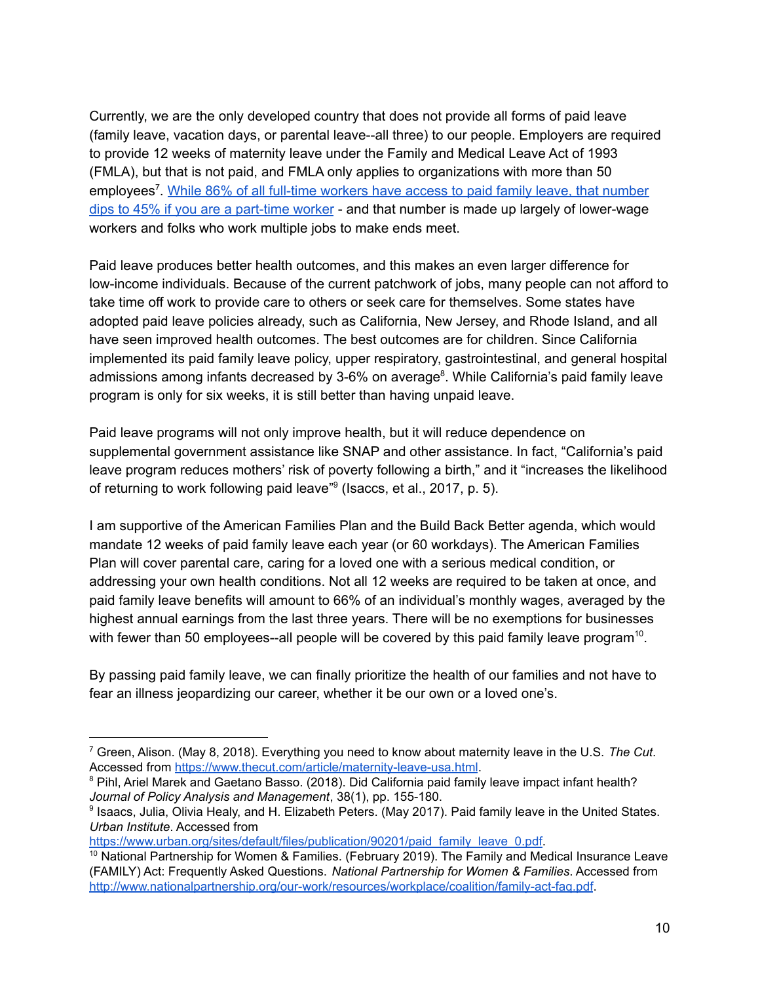Currently, we are the only developed country that does not provide all forms of paid leave (family leave, vacation days, or parental leave--all three) to our people. Employers are required to provide 12 weeks of maternity leave under the Family and Medical Leave Act of 1993 (FMLA), but that is not paid, and FMLA only applies to organizations with more than 50 employees<sup>7</sup>. While 86% of all full-time [workers](https://www.kff.org/coronavirus-covid-19/issue-brief/coronavirus-puts-a-spotlight-on-paid-leave-policies/) have access to paid family leave, that number dips to 45% if you are a [part-time](https://www.kff.org/coronavirus-covid-19/issue-brief/coronavirus-puts-a-spotlight-on-paid-leave-policies/) worker - and that number is made up largely of lower-wage workers and folks who work multiple jobs to make ends meet.

Paid leave produces better health outcomes, and this makes an even larger difference for low-income individuals. Because of the current patchwork of jobs, many people can not afford to take time off work to provide care to others or seek care for themselves. Some states have adopted paid leave policies already, such as California, New Jersey, and Rhode Island, and all have seen improved health outcomes. The best outcomes are for children. Since California implemented its paid family leave policy, upper respiratory, gastrointestinal, and general hospital admissions among infants decreased by 3-6% on average<sup>8</sup>. While California's paid family leave program is only for six weeks, it is still better than having unpaid leave.

Paid leave programs will not only improve health, but it will reduce dependence on supplemental government assistance like SNAP and other assistance. In fact, "California's paid leave program reduces mothers' risk of poverty following a birth," and it "increases the likelihood of returning to work following paid leave"<sup>9</sup> (Isaccs, et al., 2017, p. 5).

I am supportive of the American Families Plan and the Build Back Better agenda, which would mandate 12 weeks of paid family leave each year (or 60 workdays). The American Families Plan will cover parental care, caring for a loved one with a serious medical condition, or addressing your own health conditions. Not all 12 weeks are required to be taken at once, and paid family leave benefits will amount to 66% of an individual's monthly wages, averaged by the highest annual earnings from the last three years. There will be no exemptions for businesses with fewer than 50 employees--all people will be covered by this paid family leave program<sup>10</sup>.

By passing paid family leave, we can finally prioritize the health of our families and not have to fear an illness jeopardizing our career, whether it be our own or a loved one's.

<sup>7</sup> Green, Alison. (May 8, 2018). Everything you need to know about maternity leave in the U.S. *The Cut*. Accessed from <https://www.thecut.com/article/maternity-leave-usa.html>.

<sup>&</sup>lt;sup>8</sup> Pihl, Ariel Marek and Gaetano Basso. (2018). Did California paid family leave impact infant health? *Journal of Policy Analysis and Management*, 38(1), pp. 155-180.

<sup>9</sup> Isaacs, Julia, Olivia Healy, and H. Elizabeth Peters. (May 2017). Paid family leave in the United States. *Urban Institute*. Accessed from

[https://www.urban.org/sites/default/files/publication/90201/paid\\_family\\_leave\\_0.pdf](https://www.urban.org/sites/default/files/publication/90201/paid_family_leave_0.pdf).

 $10$  National Partnership for Women & Families. (February 2019). The Family and Medical Insurance Leave (FAMILY) Act: Frequently Asked Questions. *National Partnership for Women & Families*. Accessed from <http://www.nationalpartnership.org/our-work/resources/workplace/coalition/family-act-faq.pdf>.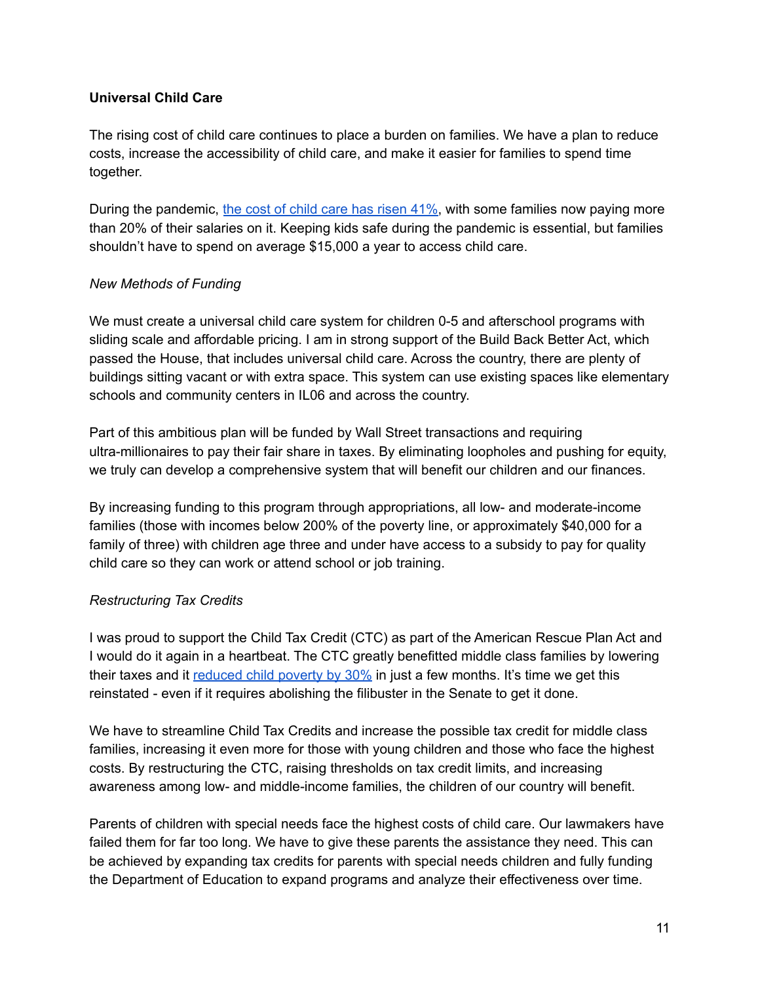## **Universal Child Care**

The rising cost of child care continues to place a burden on families. We have a plan to reduce costs, increase the accessibility of child care, and make it easier for families to spend time together.

During the pandemic, the cost of child care has [risen](https://fortune.com/2022/01/28/the-cost-of-child-care-in-the-us-is-rising/) 41%, with some families now paying more than 20% of their salaries on it. Keeping kids safe during the pandemic is essential, but families shouldn't have to spend on average \$15,000 a year to access child care.

## *New Methods of Funding*

We must create a universal child care system for children 0-5 and afterschool programs with sliding scale and affordable pricing. I am in strong support of the Build Back Better Act, which passed the House, that includes universal child care. Across the country, there are plenty of buildings sitting vacant or with extra space. This system can use existing spaces like elementary schools and community centers in IL06 and across the country.

Part of this ambitious plan will be funded by Wall Street transactions and requiring ultra-millionaires to pay their fair share in taxes. By eliminating loopholes and pushing for equity, we truly can develop a comprehensive system that will benefit our children and our finances.

By increasing funding to this program through appropriations, all low- and moderate-income families (those with incomes below 200% of the poverty line, or approximately \$40,000 for a family of three) with children age three and under have access to a subsidy to pay for quality child care so they can work or attend school or job training.

## *Restructuring Tax Credits*

I was proud to support the Child Tax Credit (CTC) as part of the American Rescue Plan Act and I would do it again in a heartbeat. The CTC greatly benefitted middle class families by lowering their taxes and it [reduced](https://www.npr.org/2022/01/27/1075299510/the-expanded-child-tax-credit-briefly-slashed-child-poverty-heres-what-else-it-d) child poverty by 30% in just a few months. It's time we get this reinstated - even if it requires abolishing the filibuster in the Senate to get it done.

We have to streamline Child Tax Credits and increase the possible tax credit for middle class families, increasing it even more for those with young children and those who face the highest costs. By restructuring the CTC, raising thresholds on tax credit limits, and increasing awareness among low- and middle-income families, the children of our country will benefit.

Parents of children with special needs face the highest costs of child care. Our lawmakers have failed them for far too long. We have to give these parents the assistance they need. This can be achieved by expanding tax credits for parents with special needs children and fully funding the Department of Education to expand programs and analyze their effectiveness over time.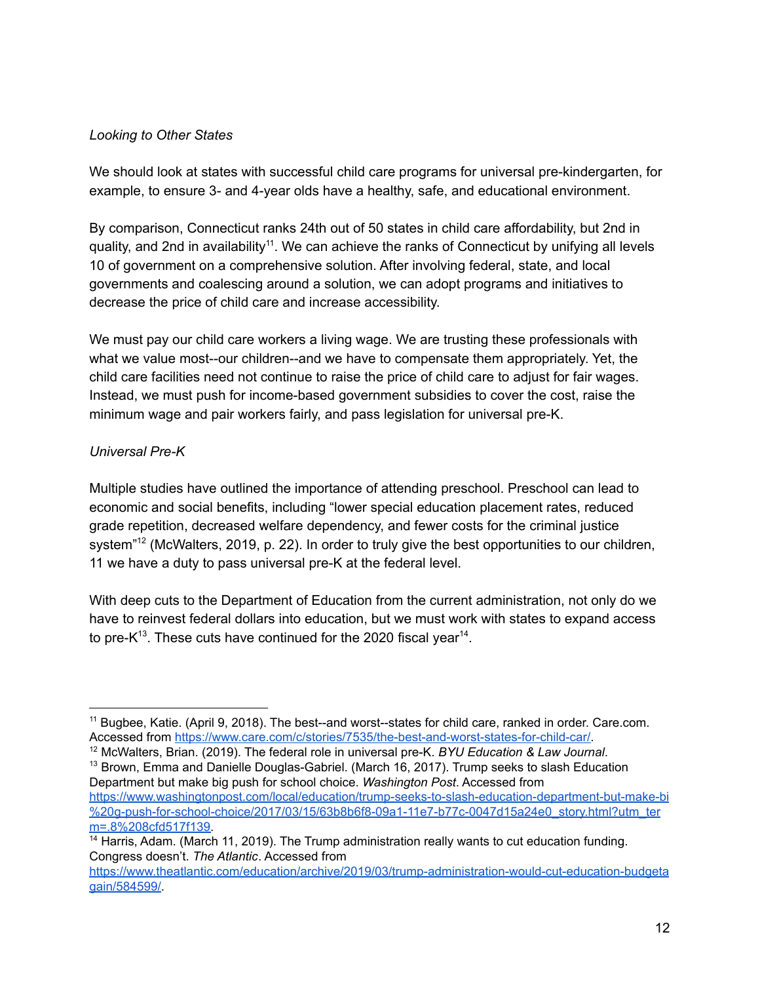### *Looking to Other States*

We should look at states with successful child care programs for universal pre-kindergarten, for example, to ensure 3- and 4-year olds have a healthy, safe, and educational environment.

By comparison, Connecticut ranks 24th out of 50 states in child care affordability, but 2nd in quality, and 2nd in availability<sup>11</sup>. We can achieve the ranks of Connecticut by unifying all levels 10 of government on a comprehensive solution. After involving federal, state, and local governments and coalescing around a solution, we can adopt programs and initiatives to decrease the price of child care and increase accessibility.

We must pay our child care workers a living wage. We are trusting these professionals with what we value most--our children--and we have to compensate them appropriately. Yet, the child care facilities need not continue to raise the price of child care to adjust for fair wages. Instead, we must push for income-based government subsidies to cover the cost, raise the minimum wage and pair workers fairly, and pass legislation for universal pre-K.

## *Universal Pre-K*

Multiple studies have outlined the importance of attending preschool. Preschool can lead to economic and social benefits, including "lower special education placement rates, reduced grade repetition, decreased welfare dependency, and fewer costs for the criminal justice system"<sup>12</sup> (McWalters, 2019, p. 22). In order to truly give the best opportunities to our children, 11 we have a duty to pass universal pre-K at the federal level.

With deep cuts to the Department of Education from the current administration, not only do we have to reinvest federal dollars into education, but we must work with states to expand access to pre-K<sup>13</sup>. These cuts have continued for the 2020 fiscal year<sup>14</sup>.

 $13$  Brown, Emma and Danielle Douglas-Gabriel. (March 16, 2017). Trump seeks to slash Education Department but make big push for school choice. *Washington Post*. Accessed from [https://www.washingtonpost.com/local/education/trump-seeks-to-slash-education-department-but-make-bi](https://www.washingtonpost.com/local/education/trump-seeks-to-slash-education-department-but-make-bi%20g-push-for-school-choice/2017/03/15/63b8b6f8-09a1-11e7-b77c-0047d15a24e0_story.html?utm_term=.8%208cfd517f139) [%20g-push-for-school-choice/2017/03/15/63b8b6f8-09a1-11e7-b77c-0047d15a24e0\\_story.html?utm\\_ter](https://www.washingtonpost.com/local/education/trump-seeks-to-slash-education-department-but-make-bi%20g-push-for-school-choice/2017/03/15/63b8b6f8-09a1-11e7-b77c-0047d15a24e0_story.html?utm_term=.8%208cfd517f139) [m=.8%208cfd517f139.](https://www.washingtonpost.com/local/education/trump-seeks-to-slash-education-department-but-make-bi%20g-push-for-school-choice/2017/03/15/63b8b6f8-09a1-11e7-b77c-0047d15a24e0_story.html?utm_term=.8%208cfd517f139)

<sup>&</sup>lt;sup>11</sup> Bugbee, Katie. (April 9, 2018). The best--and worst--states for child care, ranked in order. Care.com. Accessed from [https://www.care.com/c/stories/7535/the-best-and-worst-states-for-child-car/.](https://www.care.com/c/stories/7535/the-best-and-worst-states-for-child-car/)

<sup>12</sup> McWalters, Brian. (2019). The federal role in universal pre-K. *BYU Education & Law Journal*.

<sup>&</sup>lt;sup>14</sup> Harris, Adam. (March 11, 2019). The Trump administration really wants to cut education funding. Congress doesn't. *The Atlantic*. Accessed from

[https://www.theatlantic.com/education/archive/2019/03/trump-administration-would-cut-education-budgeta](https://www.theatlantic.com/education/archive/2019/03/trump-administration-would-cut-education-budgetagain/584599/) [gain/584599/.](https://www.theatlantic.com/education/archive/2019/03/trump-administration-would-cut-education-budgetagain/584599/)